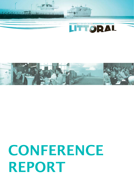# **CONFERENCE** REPORT





<u> TERRITA TALINI</u> **ALBERTARIE DR**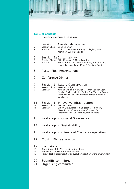|                                        |                                               | Ħ                                                                                                                                                                                                                   |
|----------------------------------------|-----------------------------------------------|---------------------------------------------------------------------------------------------------------------------------------------------------------------------------------------------------------------------|
|                                        |                                               |                                                                                                                                                                                                                     |
| 3                                      | <b>Table of Contents</b>                      | Plenary welcome session                                                                                                                                                                                             |
| 5<br>5<br>5                            | Session 1<br>Session Chair<br><b>Speakers</b> | <b>Coastal Management</b><br>Brian Shipman<br>Cathal O'Mahoney, Anthony Gallagher, Emma<br>McKinley, Lyndsey Dodds                                                                                                  |
| 6<br>6<br>6                            | Speakers                                      | Session 2a Sustainability<br>Session Chairs Mike Mannaart & Maria Ferreira<br>Marko Prem, Laura Booth, Henning Sten Hansen,<br>Holger Janssen, Frank Maes & Emiliano Ramieri                                        |
| <b>Poster Pitch Presentations</b><br>8 |                                               |                                                                                                                                                                                                                     |
| 9                                      | <b>Conference Dinner</b>                      |                                                                                                                                                                                                                     |
| 9<br>9<br>9                            | Session 3<br>Session Chair<br>Speakers        | <b>Nature Conservation</b><br>Peter Burbridge<br>Micheal O'Briain, An Cliquet, Sarah Vanden Eede,<br>Nardine Stybel, Michiel Smits, Bert Van den Bergh,<br>Ramunas Povilanskas, Humood Naser, Annemie<br>Volckaert. |
| 11<br>11<br>11                         | Session 4<br>Session Chair<br>Speakers        | Innovative Infrastructure<br>Jean Berlamont<br>Simon Claus, Nabil Ismail, Joost Stronkhurst,<br>Masahiro Ito, Charlotte Geldof, Jeroen De<br>Waegemaeker, Jan Schreurs, Marien Boers                                |
| 13                                     | Workshop on Coastal Governance                |                                                                                                                                                                                                                     |
| 14                                     |                                               | Workshop on Sustainability                                                                                                                                                                                          |
| 16                                     |                                               | Workshop on Climate of Coastal Cooperation                                                                                                                                                                          |
| 17                                     | <b>Closing Plenary session</b>                |                                                                                                                                                                                                                     |
| 19<br>19<br>19<br>19                   | <b>Excursions</b>                             | The estuary of the Yser: a site in transition<br>The Zwin: a Cross-border cooperation<br>Port of Zeebrugge: impact of an evolution, reaction of the environment                                                     |

- 
- 20 Scientific committee<br>21 Organising committe Drganising committee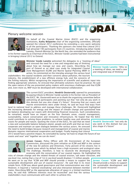

# Plenary welcome session



On behalf of the Coastal Marine Union (EUCC) and the organising institutions, Kathy Belpaeme chair of the organising committee, officially opened the Littoral 2012 conference by extending a very warm welcome to all the participants. Thanking the sponsors she noted that Littoral 2012 had attracted 190 participants from 23 countries. Introducing Johan Vande Lanotte, Flemish Minister for the North Sea, she reminded the audience that

in his former capacity as Chairman of the EUCC, Minister Vande Lanottte had been instrumental in bringing Littoral 2012 to Ostend.



Minister Vande Lanotte welcomed the delegates to a "meeting of ideas" and stressed the need for a new and integrated way of thinking about how we manage our seas and coasts. Describing the port of Ostend as an ideal case study for Integrated Coastal Zone Management (ICZM) and Marine Spatial Planning (MSP) in action, he commented on the interplay amongst the various local stakeholders: the coastal residents and their concerns about pollution, the tourism

industry, the establishment of a new offshore energy hub, and the concerns of the fishing industry. Whilst recognising the importance of scientific and academic input into finding appropriate solutions, he stressed that ultimately solutions must be practical. He said the open nature of the sea presented policy makers with enormous challenges and that ICZM and, even more so, MSP must be developed with international collaboration.



The current EUCC president, Hendrik Oosterveld, opened his presentation by paying tribute to Minister Vande Lanotte in his former role as President of the EUCC. Mr. Oosterveld went on to thank the organising committee before welcoming all participants and pointing out that "not only do you work in this domain but you also shape it's future". Stressing that our coasts and marine environments were under threat, he said we must find ways from

local to national level to address and manage these challenges. Mr. Oosterveld highlighted the increasing demands for energy and the impact of climate change and questioned how we balance developing our coasts with diminishing financial resources. Such considerations, he remarked, would have an impact on the four thematic areas, coastal management, sustainability, nature conservation and innovative infrastructure. He hoped that the EUCC

could contribute to solving these problems, to achieve healthy seas and attractive coasts for people and nature. Quoting the vision of the EUCC, he said that we need a new and sustainable balance between planet, people and profit and that we must cooperate and maintain an open dialogue between the various actors. He stressed the need to build bridges because research and management of coastal and marine domains requires international cooperation and budget. Finally hoping that Littoral

2012 would have a positive impact, he concluded by saying "we have to shape the future of our coasts and seas" and "together we can do more".



Jeroen Casaer, Policy Officer with DG Environment of the European Commission, discussed the joint initiative on ICZM and MSP in the context of the new EU policies and Directives. Forty percent of EU citizens live in coastal areas which by default have a high economic and ecological value. The challenge, therefore, is how to reconcile the developing maritime economy with the conservation of our coastal regions. He highlighted the

risks of climate change and the related threats of coastal erosion, salt water intrusion, and sea-level rise, noting that a rise of 1m in sea-level would displace 13 million people. He went on to say that "ICZM and MSP should provide a means to support the sustainable development and use of coastal resources". He said that in its most simple form, ICZM was about good governance and that communication was vital. However, it required a "national stocktaking" and also interaction between member states. Describing MSP as the appropriate allocation of space in a limited maritime area, he said that "different interests must be reconciled" and that the various stakeholders must communicate with each other to achieve this.

Minister Vande Lanotte: "(this is) a meeting of ideas, we need a new and integrated way of thinking"

Hendrik Oosterveld: "not only do you work in this domain but you also shape it's future"

Jeroen Casaer "ICZM and MSP should provide a means to support the sustainable development and use of coastal resources".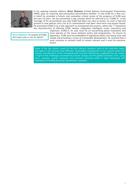

In his opening keynote address, Brian Shipman (United Nations Environment Programme, UNEP), gave an inspiring and provocative presentation entitled, "A new ICZM for a new era," in which he provided a holistic and somewhat critical review of the progress of ICZM over the past 20 years. He also presented a new concept which he referred to as "iCZM2.0". A key message of his presentation was that ICZM had been too slow to evolve. As such it had lost ground to new policies and a lot of its achievements had been short-term and project based. He presented iCZM2.0 as a new approach to reinvigorate the process, where the "i" represents key characteristics of effective ICZM, namely, integrated, intelligent, iconic, interactive and

Brian Shipman "In respect of ICZM, the status quo is not an option".

important. iCZM2.0, he said, must be an overarching policy framework that must operate at the nexus between policy and programmes. To ensure its legitimacy, ICZM must be embedded in legislation whilst also being clear and simple and providing a vision of sustainable development. He stressed that it must continue to reinvent itself to remain relevant and it must be outcomedriven.

Some of the key points raised by the four plenary speakers were to be reiterated again and again in the sessions that followed. Sustainable management of our coastal zones will require consideration of the increasing multi-sectoral interactions supported by our coasts in light of the challenges presented by climate change and the global economic crisis. Long term, strategic, spatial, temporal and economic planning within a legal framework will contribute to finding practical, harmonious solutions.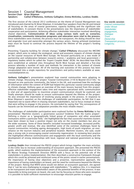#### Session 1 Coastal Management Session Chair Brian Shipman Speakers Cathal O'Mahoney, Anthony Gallagher, Emma McKinley, Lyndsey Dodds

The first session of the Littoral 2012 conference on the theme of Coastal Management was introduced and chaired by Dr Brian Shipman. It included four speakers from the UK and Ireland all focusing on the areas of coastal governance, capacity building and the significant role of stakeholders. A constant theme in the presentations was the importance of stakeholder cooperation and participation. Achieving effective stakeholder interaction involved identifying shared objectives. Communication of ideas using various tools such as scenarios, visualisation, community interaction programs and education were vital to the process. Once stakeholders were involved, the process must be transparent, the dialog should be clear and engender trust and ownership amongst the various actors. Having achieved momentum ways must be found to continue the process beyond the lifetime of the project's funding period.

Presenting "Capacity building for climate change," Cathal O'Mahony discussed the IMCORE project, which aims to reduce the ecological, social and economic impacts of climate change on the coastal resources of North West Europe. He focused particularly on a new mode of partnership and collaboration between research centres / academia and local government / regulatory bodies which he called the "Expert Couplet Node" (ECN). He described how ECNs were established at selected sites throughout North West Europe and detailed a five-step process whereby a number of tools and methods for interaction in the context of climate change adaptation were tested. All of the learning and outcomes of this process has been encapsulated into a single repository for practitioners and policy-makers available at www. coastaladaptation.eu.

Anthony Gallagher's presentation explored how coastal communities were adapting to climate change. Discussing the project "Coastal Communities 2150 & Beyond (CC2150)," he focused on one particular community, the Solent in the UK, and examined how the exchange of information within the context of ICZM had helped this particular coastal community adapt to climate change. Anthony gave an overview of the main lessons learned from this project: effective stakeholder engagement takes time and requires specialized skills; communication is vital and all opportunities to maximize project communication should be explored; and finally attempts should be made to ensure continuation beyond the lifetime of the project. He also stressed the importance of involving young people in the process. In response to Brian Shipman's question on the challenges of stakeholder participation, he felt that it was important not to waste effort in chasing reluctant stakeholders, but to focus instead on those that were willing to engage in the process. He concluded by saying that "the consequences of hazards can be minimized and adaptation provides the most reliable means".

The challenges of stakeholder participation were explored further by Emma McKinley in her presentation "Maritime clusters: a governance success? Evidence from the Camis project". Defining a cluster as a "geographically linked group of companies and other associated institutions within a particular field," she highlighted the fact that successful maritime clusters have been shown to have a positive impact not only on the cluster members but also on the wider economy. Some of these benefits included increased knowledge, increased profile, greater profit and revenue. She also identified some of the common challenges faced by coastal communities including ageing demographic, high levels of youth migration, an overreliance on the tourism industry and peripheral location. Maritime clusters, she said, could play a strong role in encouraging coastal community regeneration. In reviewing best practice she highlighted effective communication and engagement with the local community and the development of strong relationships with local, regional and national government as being key.

Lyndsey Dodds then introduced the PISCES project which brings together the main activities in the Celtic Sea to increase understanding of ecosystem approach. She presented the PISCES guide, which explores the implementation of the ecosystem approach in the context of the EU Marine Strategy Framework Directive (MSFD) with a focus on the potential role of the stakeholders in policy implementation. She then described a constructive framework through which this could be achieved and reinforced some of the points raised in earlier presentations; the importance of having clear objectives and a proactive, representative approach, the importance of having stakeholders on board, and the need for continuance beyond the lifetime of the project. Noting that MSFD alone would not deliver an ecosystem approach, she agreed that it "can be very challenging to engage with stakeholders." To address this, it is important to be transparent and make stakeholders aware of the potential benefits of the process. It was impossible to bring everyone on board, she said, but by focusing on those who were receptive it is possible to build sufficient momentum to encourage reluctant parties to engage.

Key words session: *Coastal communities under threat Stakeholder engagement, Dialogue Trust Ownership Transparent process, Longevity.*







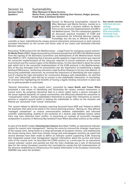#### Session 2a Sustainability<br>Session Chairs Mike Mannaart & N Mike Mannaart & Maria Ferreira Speakers Marko Prem, Laura Booth, Henning Sten Hansen, Holger Janssen, Frank Maes & Emiliano Ramieri



Session 2a Measuring Sustainability, chaired by Mike Mannaart and Marria Ferreira, started on a positive note with a keynote address by Marko Prem on the successful implementation of ICZM in the Mediterranean. The five subsequent speakers all discussed practical examples of ICZM and the requirement for informed decision making. Knowledge was the key to effective ICZM, be it

Key words session: *Informed decision making Local knowledge Risk assessments Fostering trust, Knowledge is key*

scientific or local. Indentifying the unique sectoral interactions and pressures in each scenario provided information on the current and future state of our coasts and facilitated informed decision making.

Presenting "ICZM protocol for the Mediterranean – a legal frame for managing coastal systems" Dr Marko Prem (UNEP), began by providing a historical perspective of ICZM in the Mediterranean from the signing of the Barcelona Convention and development of the Mediterranean Action Plan (MAP) in 1975. Explaining that it became quickly apparent a legal instrument was required for successful implementation of the measures required to ensure protection of the marine environment and the coastal region of the Mediterranean, he then described in detail the action plan which led to the successful implementation of the ICZM protocol in the Mediterranean. One of the key messages from his presentation was the importance of establishing a legally binding ICZM process, reinforcing comments made by Brian Shipman in his key note address. In discussing stakeholder interaction, he stressed the importance of identifying the main players and of creating the right atmosphere for constructive dialogue with stakeholders. He said that "trust" and "ownership" were the key to success in any stakeholder interaction. In concluding, he stressed that highlighting the benefits of having a legally binding instrument in place was key to getting people to participate.

"Sectoral Interactions in the coastal zone", presented by Laura Booth and Fraser Milne presented a new means of identifying and illustrating the various sectoral interactions in coastal zones. By assigning interaction data to a colour coded matrix a picture emerged of the actual regional dynamics of coastal communities and effectively allowed the researcher to "conceptualise reality". Asking stakeholders themselves to assign their interactions as neutral, positive or negative proved useful in helping the stakeholder to reflect on the situation and filtered out "perceived" from "actual" interactions.

This system helped to identify hotspots requiring focussed future MSP and "helped to define the questions that need to be asked in the marine planning process". Moving on, they defined "managed competition" as mutual communication between stakeholders and informed scientific understanding, leading to the existence of a neutral state between sectors where there may have otherwise been conflict. In presenting an example of successful managed competition in practice in Montrose Bay Scotland Fraser Milne described science as the arbiter.

As part of the BLAST project Henning Sten Hansen described "COINS, an operational indicator system for coastal zone management". Setting the scene he stressed the strategic importance of the coastal zone, being home to a large percentage of European citizens, and emphasizing the threats facing them, both from climate change and anthropogenic activities He noted that several attempts have been made to define an indicator system supporting ICZM. Stressing that integrated coastal zone management requires information about the current and future state of the coastal zone, he described the COINS systems as a proto-type for an operational coastal indicator system and pointed out that the main challenge was a lack of harmonised data for the various European countries but concluded by saying that full implementation of the directive establishing an Infrastructure for Spatial Information in the European Community (INSPIRE) may solve this problem.



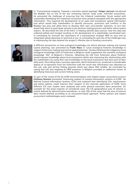

In "Transnational mapping: Towards a maritime spatial typology" Holger Janssen introduced the Wadden Sea as one of the last remaining natural, large scale, intertidal ecosystems. He presented the challenge of ensuring that the trilateral stakeholder forum tasked with sustainably developing this important ecosystem were properly equipped with the appropriate information. This required the development of an open and transparent spatial information tool which would help stakeholders to identify pressures, processes and conflicts in the Wadden Sea area and allow them to develop their own cross-border solutions. In turn this would help them to participate actively in the decision making process and better inform policy makers. He described the role of the EUCC in helping identify data sources, how this data was collected edited and merged resulting in the development of a stakeholder-coordinated tool. In concluding he stressed the importance of a transnational strategic MSP on seas and an integrated spatial planning on land and at sea. In concluding he said one of the challenges was in maintaining the data beyond the project's lifetime due to funding constraints.



A different perspective on how ecological knowledge can inform decision making and marine spatial planning, was presented by Frank Maes in "Local ecological fisheries knowledge in support of decision-making and marine spatial planning". He described how the indigenous local ecological knowledge (LEK) of fishermen in Belgium could supplement the scientific ecological knowledge "SEK' of Belgium's fisheries. Obtaining the LEK from fishermen about fisheries would improve knowledge about local ecosystems whilst also improving the relationships with the stakeholders by using their own knowledge on the local ecosystems that were part of their daily work. Describing how a sensitive approach, which fostered trust, produced a considerable degree of co-operation from the fishermen with the result that information was obtained on the cod, sole and shrimp fishing grounds which was about 90% reliable. He concluded by saying that LEK and mapping for MSP purposes in Belgium provided an additional means of identifying historical and current fishing zones.



As part of the review of the EU ICZM recommendation and related impact assessment process Emiliano Ramieri presented "Improving support of coastal information systems to ICZM". He defined Coastal Information Systems (CISs) and explored how identifying CISs requirements and policy options could improve their support to the concrete application of ICZM. Forty different CIS case studies were analysed and some general outcomes were presented, for example for the great majority of considered cases the CIS geographical area of interest is mainly defined by administrative boundaries. In only 30% of the cases had the area of interest been mainly defined according to an ecosystem-based approach. Policy options and impact assessment methodologies were reviewed.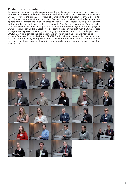## Poster Pitch Presentations

Introducing the poster pitch presentations, Kathy Belpaeme explained that it had been impossible to accommodate all those who wished to make oral presentations at Littoral 2012. However, the organisers invited all participants with a poster to give a brief pitch of their poster to the conference audience. Twenty eight participants took advantage of the opportunity to present their work in three minute slots, on subjects varying from "science policy interphases," the Pegaso project, presented by Ann Katrien Lescrauwet to "implementing a topabathy database in Mozambique" (Charles de Jongh). Several large international projects were presented such as; TransCoast by Toon Peters, a cooperative initiative in the two seas area to regenerate neglected ports and, in so doing, give a socio-economic boost to the port towns. SOCIOEC, which examines the socio-economic effects of the main management principles of the new Common Fisheries Policy and SEAFARE which aims to increase the sustainability of the aquaculture industry were presented by Frederico Cardona Pons. In this short but intense session the audience were provided with a brief introduction to a variety of projects in all four thematic areas.

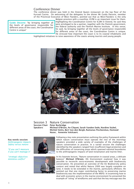# Conference Dinner

The conference dinner was held in the Ostend Queen restaurant on the top floor of the Kursaal Casino. On welcoming all the delegates to the dinner Mr Guido Decorte, member of the Provincial Executive of West Flanders, pointed out that as West-Flanders is the only

Guido Decorte: "by bringing together all the levels of governance responsible for different areas of the coast, the Coordination Centre is unique"

Belgian province with a coastline, ICZM is an important issue for them. Highlighting the Coordination Centre for ICZM in Ostend, he said they were privileged to be a partner, together with the Flemish government, the federal authority and the Flemish Marine Institute. In this sense, he said, by bringing together all the levels of governance responsible for different areas of the coast, the Coordination Centre is unique. He stressed how important the coast is to its coastal inhabitants and

highlighted initiatives to raise awareness of the coasts among tourists and young people.



## Session 3 Nature Conservation<br>Session Chair Peter Burbridge Session Chair Peter Burbridge<br>Speakers Micheal O'Briain Micheal O'Briain, An Cliquet, Sarah Vanden Eede, Nardine Stybel, Michiel Smits, Bert Van den Bergh, Ramunas Povilanskas, Humood Naser, Annemie Volckaert.

Key words session: *Anthropogenic impacts Safety versus nature*

*"if you can't measure it you can't manage it"*

*"strategic objectives minimise conflict"*



Following a key note presentation outlining the policy framework within which nature conservation must operate the rest of the mornings speakers provided a wide variety of examples of the challenges of nature conservation in practice. In a varied session the challenges identified by the speakers ranged from insufficient legal protection and the difficulties of conserving areas which spanned national boundaries to the anthropogenic impacts of land reclamation and marine litter.



In his keynote lecture, "Nature conservation in coastal areas, a delicate balance" Micheal O'Briain, DG Environment explored how it was possible to reconcile socio-economic development with biodiversity conservation. He presented an overview of the EU Biodiversity policy context and noted that whilst Natura 2000 was largely complete on land, it needs to be extended in the marine, particularly offshore. He pointed out that one major contributing factor to preserving marine biodiversity was the implementation of the MSFD. In examining how to deal with economic actors in the marine environment he presented the example of "siting" of windfarms and said that the key message was the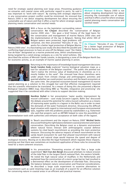need for strategic spatial planning over large areas. Presenting guidance on estuaries and coastal zones with particular regard to ports, he said it was important to "work with nature". By starting with strategic objectives in any conservation project conflict could be minimised. He stressed that Natura 2000 is not about stopping development but about ensuring the sustainable use of nature and that it offers a tool for where strategic spatial planning meets conservation and societal needs.

Michael O Briain: "Natura 2000 is not about stopping development but about ensuring the sustainable use of nature and that it offers a tool for where strategic spatial planning meets conservation and societal needs"



## With a focus on the legislation surrounding nature

conservation An Cliquet described the "conservation of Belgian marine 2000 sites " She gave a brief history of the legal basis for the conservation and management of marine Natura 2000 sites and the implementation of the law in Belgium. Noting that whilst 36% of Belgian waters were protected, legal problems still

remained, she then presented "Hercules @ sea, 10 works for a better legal protection of Belgian Marine

Natura 2000 sites". In a fascinating case study she described the parallel and conflicting legal processes to have an area off the Belgian coast "the Vlakte Van de Raan" designated as a marine protected area, whilst simultaneously being targeted by a wind energy company as a site for wind turbines. She

An Cliquet: "Hercules @ sea, 10 works for a better legal protection of Belgian Marine Natura 2000 sites"

described the actions of Minister Vande Lanotte, in designating a zone of the Belgian North Sea for economic activity, as an example of marine spatial planning in action.



Returning to the importance of knowledge based management decisions Sarah Vanden Eede explored "marine biological valuation maps as a tool for valuation of the Belgian coastline". The public she pointed out "don't realise the intrinsic value of biodiversity in shorelines as it is mostly hidden in the sand". She stressed how these shorelines were under attack from climate change and anthropogenic activities and queried whether we could protect ourselves and the beach ecosystem at the same time. She proposed ecosystem-based management & marine

spatial planning as a solution to this struggle but said that effective management required that the scientific information be translated. As a means of doing this she presented a Marine Biological Valuation (MBV) map. Describing MBV as "flexible, integrative and promising" she suggested that it be considered with other criteria to support decision making.



Nardine Stybel in her presentation "water quality improvement by mussel cultivation – case study Szczecin Lagoon, Baltic Sea" discussed the debate around the potential for zebra mussel cultivation as a means of improving water quality in a lagoon in the Baltic sea in order to meet the demands of the water framework directive. Discussing the difficult legal situation with regard to international and European environmental laws, together with the problems posed by stakeholders e.g. fishermen she said that projects such as ARTWEI helped to raise the possibility of

bioremediation tools with authorities and enhance acceptance on both sides of the lagoon.



In "Beach nourishment and the impact on Natura 2000" Michiel Smits discussed finding the right balance between coastal protection and nature conservation. Describing the Belgian coast as a dynamic environment where natural forces interact with anthropogenic coastal defense systems he cited beach nourishment as providing the main protective measure. Discussing the adverse impacts of beech nourishment on the sandy beach ecosystem he said that phased nourishment with natural sediment and natural slope would improve the speed and degree of

ecological recovery. Moving on to describe the legal framework which regulate these impacts, pointing out that there was sometimes an incoherent application of these rules he stressed the need for a more coherent structure.



In his presentation "Preventing erosion of tidal flats a large scale experiment" Bert Van den Bergh discussed attempts to reduce erosion of the tidal flats in the largest Dutch national Park, the eastern Scheldt. He noted the high natural value of mudflats in the Netherlands and explained how the construction of a storm surge barrier had resulted in a detrimental effect on the development of intertidal flats. Discussing the balance between nature conservation and financial considerations, he described a large scale experiment to examine alternatives to

nourishment such as sand retaining traps as an example of a search for an effective solution for conserving nature in coastal areas in an efficient and practical manner.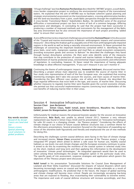

"A huge challenge" was how Ramunas Povilanskas described the "ARTWEI" project, a south Baltic, cross border cooperation project to reinforce the environmental integrity of the transnational waters. He explained that the aim of ARTWEI was to facilitate coherent spatial planning and strategic environmental assessment on the transitional waters, crossing administrative borders and the land-sea boundary from a joint, south Baltic perspective through the establishment of 4 cross-border Transitional Waters' Stakeholders Bodies. He identified some of the practical difficulties a transnational project can face in terms of lack of a common language, differing governance and ideologies. In concluding he said that the project had been successful in producing a number of improved methods and instruments for the management of the Baltic Sea area environment but he also stressed the importance of each project providing "added value" to ensure their survival.



A very different but no less important challenge was presented by Humood Naser in his discussion of the "Coastal and marine environments in Bahrain: anthropogenic impacts and conservation measures". Describing the Arabian gulf as arguably one of the most anthropogenically impacted regions in the world as well as being a naturally stressed environment, Dr Naser presented the challenges of conserving the important biodiversity contained within it. Identifying the sea grass beds, coral reefs, mangroves swamps and mud flats as valued ecosystem components providing ecosystem goods and services to Bahrain" he described the challenges they faced through human disturbance activities. He then went onto identify some of the measures that may contribute to the protection of coastal and marine habitats in Bahrain through the establishment of marine protected areas, environmental impact assessments and enforcement of legislation. In concluding, however, Dr Naser noted the importance of having adequate knowledge to allow effective management, "if you can't measure it you can't monitor it".



Continuing the theme of anthropogenic impacts, Annemie Volckaert, discussed marine litter. Describing a project whose main objective was to establish the source of marine litter in four study sites representative of each of the four European seas, she explained that existing monitoring strategies don't take into account the sources, and main causes of marine litter. Considering the four different case studies, one of which was Ostend, she described the huge regional differences that exist both in the type, and source, of marine litter. Discussing whether measures to regulate marine litter were feasible given the current economic climate, she pointed out that successful implementation requires convincing local stakeholders of the cost benefits of reducing marine litter in their areas.

#### Session 4 Innovative Infrastructure Session Chair Jean Berlamont Speakers Simon Claus, Nabil Ismail, Joost Stronkhurst, Masahiro Ito, Charlotte Geldof, Jeroen De Waegemaeker, Jan Schreurs, Marien Boers

Unfortunately for medical reasons the proposed keynote speaker for the session on Innovative Infrastructure, Bela Buck, was unable to attend Littoral 2012, however a very relevant replacement was found in Simon Claus (VLIZ) and his presentation on "Innovative technologies for safer EU coasts in a changing climate – the Theseus project." Considering the effects of climate change in our choice of future coastal defense structures was a common theme for the afternoons presentations. Several presenters focused on the importance of expanding our vision of the shoreline both figuratively and literally and emphasised the use of new methods for doing this.

Describing the challenges current coastal defences were facing in the face of climate change and increased storms, Simon Claus presented an overview of the Theseus project, a large, integrated FP7 project which aimed to deliver a safe coast for human use, healthy coastal habitats as sea levels rise and climate changes and the European economy continues to grow. It aimed to do this by examining the resilience of the coastal system in selected study sites on the short, medium and long term and then applying this information to the development of innovative "climate proof technologies." An integrated approach would then be used to select among these technologies the proper mitigation option in the particular study sites. The specific goals of risk assessment, response strategies and application which govern the objectives of the Theseus project were discussed.

Nabil Ismail in his presentation "Sustainable Solutions for Coastal Zone Management of Lowland and River Delta Coastlines" discussed the impacts of natural disasters which were becoming increasingly severe on coastal and lowland areas already vulnerable as a result of anthropogenic modifications. He predicted that in the future, the impact of global warming and climate change will become more critical. People are increasingly occupying low-lying areas that are exposed to flooding, thus exacerbating their vulnerability to extreme events. The importance and scale of coastal defense structures will increase accordingly, and thus

Key words session: *Research by design Coasts are land and sea Future visions Spatial planning Local solutions to global problems*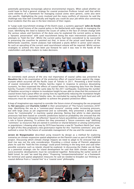potentially generating increasingly adverse environmental impacts. When asked whether we could hope to find a general strategy for coastal protection Profesor Ismail said that whilst some elements of a framework for managing coastal zones were generic, some also were site specific. Highlighting the costs involved and the many conflicts of interests he said the challenge was how well scientifically and legally you could do your job whilst also convincing local residents that this was in the best interests of their region.

In "Large scale nourishment strategy of the Dutch coast, a systems approach" John de Ronde provided a brief history of the coastal policy in the Netherlands with regards to managing the coast. Identifying the need to balance the issues of safety in the face of climate change with the various values and functions of the dune area he explained the current policy as being a "dynamic preservation" with sand nourishment being the main intervention procedure in attempts to "hold the line". Whilst the current policy had been considered to be successful in preserving the coastline he pointed out that, in terms of the actual sand balance of the Netherlands coastline, recent analyses had indicated a yearly deficit in active sand volume. As such an upscaling of the current sand nourishment volume will be required. Whilst various strategies to achieve this have been put forward he said it was now in the hands of the stakeholders and policy makers to make decisions.



An extremely stark picture of the very real importance of coastal safety was presented by Masahiro Ito in his examination of the protective effect of coastal levees against the megatsunami which occurred off the Pacific coast of Tohuko in 2011. Presenting a brief history of coastal restoration of the Tohoku Sanriku region in response to previous devastating tsunamis, he then examined the effects of coastal levees by comparing data from the Showa Sanriku Tsunami (1933) with the same data for the 2011 earthquake. Examining the number of fatalities occurring in relation to inundation height he was able to show that the existence of coastal levees had a great effect on saving lives by significantly reducing the inundation height required to result in equivalent fatality rates. He concluded by saying that both hard and soft measures must be considered together to achieve the greatest protective effect.

A leap of imagination was required to consider the future vision of managing the sea proposed by Nel Janssens and Charlotte Geldof in their presentation of "The Future Commons 2070" map. Identifying the sea as a "common-pool resource" coming under increasing pressure, but with large areas as yet ungoverned and so vulnerable, they presented a design based vision for "commonality" in maritime spatial planning. Noting that whilst to date planning processes had been based on scientific predictions based on probability she stressed that the time had come for "anticipative reflection" based on future possibilities and desirability to play a role in future planning. To achieve this they presented a "future commons map" (defining "commons" as resources that are owned in common or shared between or among communities or populations ) showing what may by 2070 have become a new EU "Southern North Sea" zone. In light of this they proposed a new governance regime for this "maritime commons" area and outlined a vision for the future of sustainable management of the sea and the coastal area.

Jeroen de Waegemaeker described using research by design as a method for exploring scenarios on climate responsive spatial adaptation on the Flemish coast as part of the CcASPAR project. Discussing which climate change impacts we need to adapt to he stressed that sea level rise was not the only consideration. Providing a critical review of Flemish adaptation plans he said the "hold the line strategy" could prove limiting in the long term and said other possible scenarios such as islands should be explored. In discussing the Vlakte van de Raan as a potential strategic site for island development he said that both climate impacts and socio-economic developments must be considered together. Reiterating the earlier words of Nabil Ismail, he said "we need big plans." Proposing "compartmentalization" as a framework for technical and spatial adaptation measures he said we needed to broaden our thinking on coastal defense from a "coastal line" to a "coastal zone" philosophy.

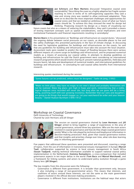

Jan Schreurs and Marc Martens discussed "Integrative coastal zone sustainability" Describing the coast as a highly adaptive but fragile system reaching its limit in terms of its self-organizing capacities they said a new and strong story was needed to allow continued adaptation. They went on to describe the most important challenges and opportunities for coastal zones and that we needed an ambitious vision of what our future coasts should be. To achieve this they stressed the need for design led thinking. Proposing research by design as a means of visualising our

future coasts but also as a means of seducing the stakeholders, they said it provided a means of testing important concepts such as spatial considerations, social implications and even institutional frameworks and financial requirements resulting in serendipity!



Marien Boers in his presentation on "Buildings and infrastructure on coastal dunes," discussed the ongoing debate between social pressures on our coasts, as desirable places to live and the safety challenges this presented particularly in the face of climate change. In discussing the need for legislative guidelines for buildings and infrastructures on the coasts, he said that any guidelines for building and infrastructure must take into account the local situation. Assessment tools were needed to predict the impact of flooding because there were various different impacts of a storm surge on buildings and infrastructure, and he proposed numerical models as a means of assessing our coastal safety. In attempts to develop guidelines on building and infrastructure he said the Dutch government were considering an international research programme which would involve sharing of; present national guidelines, field data and lessons learnt, lab data and development of numerical models, and international guidelines for buildings and infrastructure. In concluding he said coastal safety benefits from international research.

Interesting quotes mentioned during the session:

"Some futures can be predicted, others must be designed." Taeke de Jong, (1992)

"Make no little plans: they have no magic to stir men's blood and probably themselves will not be realized. Make big plans; aim high in hope and work, remembering that a noble, logical diagram once recorded will never die, but long after we are gone will be a living thing, asserting itself with ever growing insistency. Remember that our sons and daughters are going to do things that would stagger us. Let your watchword be order and your beacon beauty."- Daniel Hudson Burnham (1846-1912)

Workshop on Coastal Governance Delft University of Technology Chaired by Leon Hermans and Jill Slinger



The session on coastal governance chaired by Leon Hermans and Jill Slinger aimed to bring together a range of experiences in the area of coastal governance, around three key questions: Who are the main actors involved in coastal governance and how do they shape coastal governance jointly? What is the role played by technical and biophysical information in decision-making processes? And, given that coastal governance evolves and that insights and priorities change over time, what role does learning play in informing governance?

Five papers that addressed these questions were presented and discussed, covering a range of topics, from the use of information in transnational estuary management in Europe (Marcel Taal), collaboration supported by science in local estuary management in South Africa (Susan Taaljard), making technical information available to support national coastal policy implementation in the Netherlands (Gemma Ramaekers), a cross-comparison that included governance aspects in ten major deltas in the world (Tom Bucx and Marcel Marchand), and a framework for linking systems and actors to understand policy evolution through a game theory lens (Jill Slinger).

The key insights from this discussion were the following:

- Governance is different from government. It is broader than government only, because it also including a range of non-governmental actors. This means that interests, and coalitions of actors around these interests, are not the same as the main government players involved in the official decision-making procedures.
- Governance is different from institutions. Institutions are the habitual ways that actors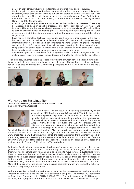deal with each other, including both formal and informal rules and procedures.

- Getting a grip on governance involves learning within the system over time. It is helped by science, which both enables learning but also collaboration across actor coalitions with diverging interests. This could be at the local level, as in the case of Great Brak in South Africa, but also at the transnational level, as in the case of the Scheldt estuary between Flanders and the Netherlands.
- Actors in governance processes are motivated by their underlying interests. These may be expressed as goals in specific processes, but derive from longer term values and interests. This means that actors whose interests are directly and visible affected are likely to become active in a decision-making process. Including, and representing, the full range of actors and their interests often requires a time horizon and scope beyond that of any single project.
- Governance is complex. Technical information can help actors manoeuver in this space, but inevitably questions will arise, or demands on the infrastructure will change, requiring information that was not collected nor considered relevant earlier or might be considered sensitive. E.g., information on financial aspects, learning by international crosscomparisons, changed needs in water from a dam, altered flooding standards, altered beach nourishment procedures, or increases in upstream tidal range.
- Game theory provides a useful lens for looking reflectively at linked actor-system decisionmaking processes over a longer time, and learning from the key elements that drive these.

To summarize, governance is the process of navigating between government and institutions, between multiple procedures, and between multiple actors. The need for techniques and tools for this was also expressed by a workshop participant who is a member of the provincial government.



## Workshop on Sustainability:

Session 2b "Measuring sustainability: the Sustain project" Chaired by Patrycja Czerniak



The session addressed the issue of measuring sustainability in the scope of the ERDF-funded Interreg IVC project SUSTAIN. In this session four invited speakers explained and illustrated the innovative use of the policy tool set, developed within the project, for the measurement of sustainability in coastal regions and municipalities from across Europe. Maria Ferreira introduced the SUSTAIN project with its objectives and legacy and Xenia Loizidou explained the methodology behind the developement within the project policy tool: Decyde-for-

Sustainability with its scoring methodology. Also the experiences and good practices towards the improvement of policies at local and regional level from Germany and The Netherlands were presented. Gerald Schernewski shared the local experience from Germany, based on the scoring exercise in assessing the sustainability performance and lessons learned from the SUSTAIN partnership; Hans Heupink described the relevance of sustainability aspects on a regional scale in Province Zuid-Holland in The Netherlands.

Rationale: By definition, 'sustainable development' means that the needs of the present generation should be met without compromising the ability of future generations to meet their own needs. Increasingly, humankind is attempting to move towards a sustainable future. However, communities do not have a means of adequately measuring whether they are reaching their sustainability goals or not. Within coastal zones, there are many hundreds of indicators which purport to give information about sustainability but, in reality, none of them do so effectively – because that is not their purpose – as they are state-of-the-coast indicators. Many of them are very specific and many measure parameters which are beyond the sphere of influence of regional/local authorities.

With the objective to develop a policy tool to support the self-assessment and to determine whether an Authority is moving towards a sustainable end-point, the Interreg IVC Programme co-funded pan-European project SUSTAIN (2009-2012). The project comprises 12 EU partners, including 8 local/regional Authorities, 3 institutes, and 1 NGO – EUCC which leads the project.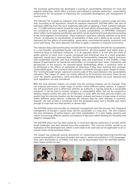The European partnership has developed a scoring of sustainability indicators for local and regional authorities, which offers a process and method to evaluate authorities' sustainability performance for the purpose of improving the sustainable development and management of coastal zones.

The Indicator Set is based on indicators that are generally already in common usage and ones that, according to EU legislation, should be regularly monitored. SUSTAIN offers two sets of Indicators differing from the more traditional approach of applying a fixed, standard indicator set.: (1) CORE indicators which should be used at all times where relevant data is available. They are considered to cover essential aspects of coastal sustainability; (2) OPTIONAL indicators which reflect local/regional specificities and which can be implemented and adjusted according to the local/regional circumstances. These indicators have been robustly selected using three criteria: a) relevance to sustainability, b) availability of data, and c) ability to be scored. They represent the four pillars of sustainability: governance, environmental quality, economics and social well-being. The novel approach has been to apply a checklist to measure Governance.

The indicator data is fed into the policy-tool DeCyDe-for-Sustainability. DeCyDe-for-Sustainability is a user-friendly, spreadsheet-based, self-assessment, decision-support tool which gives a numerical value to individual indicators. It is an approach which is in line with the trend of public policies to move from a purely conceptual and theoretical view to a more pragmatic approach, based upon observed data. DeCyDe-for-Sustainability integrates logical processes with established scientific and local knowledge, data and experience. It also enables a high degree of participation by interested stakeholders to incorporate their views, evaluations and perspectives in the process. An indicator-based methodology allows a numerical value to be attributed to the efforts of authorities to determine if they were reaching their strategic sustainability goals. The scoring of each indicator is achieved through a given ranges of values. The "scoring through ranges" approach converts state-of-the-coast indicators into sustainability indicators. The ranges of values are mainly defined by EU Directives and when these do not cover the specific parameters, limits provided by International Bodies are used. National and local regulations are also considered.

With this tool, decision makers can predict how the existing situation can be changed. They can evaluate and assess a large range of actions within different policy options. It supports the self-assessment and to determine whether an authority is moving towards a sustainable end-point. It can be used to monitor progress in sustainability effort, but not for comparison between regions (unless the same set of indicators is used). With this tool, decision makers can predict how the existing situation can be changed, evaluate and assess a large range of actions within different policy options. Collecting the relevant data for each indicator is essential, however, the lack of data is minimised since the developed policy tool is flexible and robust enough to cope with less-than-perfect or absent data.

The SUSTAIN policy-tool provides an important management tool that ensures that integrated management of Europe's coastal areas will be sustainable in a long term. The tool respects the time limitations of policy-makers and other stakeholders. It is also highly sensitive and robust in assessing different options and impacts of decisions while allowing for flexibility and adaptive management.

The SUSTAIN policy-tool has been tested by 12 local and regional authorities in Europe, which faced challenges and they learned from this experience. This exercise further served as an evaluation of the developed tool, which is now ready to be used and can be applicable to all 22 coastal states of the European Union.

The project has produced several documents on measuring/scoring/improving/transferring coastal sustainability in the form of guides and reports, which are available in 10 EU languages. They were distributed at LITTORAL and they can be downloaded from the SUSTAIN website: http://www.sustain-eu.net/.

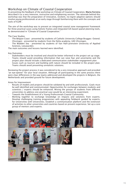# Workshop on Climate of Coastal Cooperation

In presenting the feedback of the workshop on Climate of Coastal Cooperation, Maria Ferreira described it as a very intensive, instructive and enlightening session. The rationale behind this workshop was that the preparation of innovative, resilient, no-regret adaptive options should involve young professionals at an early stage through familiarising them with the concepts and tools of ICZM .

The aim of the workshop was to present an integrated coastal zone management framework for three practical cases using holistic frames and integrated GIS based spatial planning tools, as demonstrated in "Climate of Coastal Cooperation."

## The Case Studies

- The Belgian Coast presented by students of Catholic University College Brugges- Ostend.
- Vlissingen presented by students from the Delta academy, UAS Vlissingen.
- The Wadden Sea presented by students of Van Hall-Larenstein University of Applied Sciences, Leeuwarden.

The main outcomes and lessons learned were identified.

## Key Outcomes

- Stakeholders must be involved and should be better informed in the project set up stage.
- Teams should avoid providing information that can raise fear and uncertainty and the project plan should include a dedicated communication stakeholder engagement plan
- Issues such as tourism and building with nature should be included in the project plan. Teams should avoid presenting unrealistic solutions.

Reviewing the project process it was considered to be a very innovative approach and provided "an eye-opener" for your local situation. Although all participating in the same process there were clear differences in the way teams addressed and developed the projects in Belgium, the Netherlands and provided ground for future development.

Areas for Improvement

- Results of models and projects should be validated by and with professionals. Goals must be well identified and communicated. Opportunities for exchanges between students and scientists / experts should be enhanced. Mixing the groups of students from different universities to address one practical case would be an interesting experiment.
- Towards the Establishment of a Young Professionals Coastal Community.
- Working together to exchange knowledge on impacts and solutions from experts. Develop challenging training programmes with appealing fieldwork guided by experts, for Universities with Universities. Establish a communication platform and the extension of activities to other universities and countries based on present experience. Set up a core group of mentors and experts.

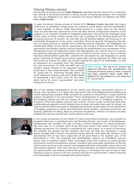# Closing Plenary session

Introducing the plenary session Kathy Belpaeme regretted that the Littoral 2012 conference was coming to an end but promised a closing session of fascinating speakers. She remarked that she was delighted to be able to introduce the Flemish Minister for Mobility and Public Works Hilde Crevits.



To open the plenary closing session of Littoral 2012 Minister Crevits described the Littoral conferences as providing a unique forum for scientists, policy makers and local stakeholders to come together to discuss ICZM. Describing Ostend as a unique place on the Flemish coast she described the construction of the new dyke and the multipurpose functions it now supports as an excellent example of integrated cooperation. Discussing the challenges faced by the coasts as being; climate change, their role as gateway to the maritime world and the increasing pressure of tourism, she said that only by working together and focusing on the sustainable development of the coasts could their future be secured. Recognising that this was not always practical or feasible due to differing sectoral influences, she highlighted the collaborative efforts of the Flemish government, the province of West-Flanders, the federal government and Flanders Marine Institute towards the establishment and maintenance of the Coordination Centre of Integrated Coastal Zone Management. She said the key to its success was advanced planning and consideration and inclusion of various actors so that a structure had been achieved which could offer a platform for consultation on, and integration of, coastal policy. Outlining the Flemish governments master plan and key objectives for 2050, she said they could not achieve this alone, but instead required the input of all stakeholders, as well

as integration at a European level. She welcomed the new instruments of ICZM and MSP and said Flanders looked forward to the approach Europe would take in their implementation. She concluded by saying that by "anchoring through policy" we could avoid past mistakes and work collaboratively on developing a joint policy vision for the coasts which had at its centre "sustainability" and which embraced all sectors.

Hilde Crevits: "the key to its success was advanced planning and consideration and inclusion of various actors so that a structure had been achieved which could offer a platform for consultation on, and integration of, coastal policy"



One of the leading representatives of the coastal and maritime construction industry in Europe, Marc Stordiau, C.E.O. Rent-a-Port and former CEO of the Belgian-based dredging and marine engineering company DEME, provided the audience of Littoral with a unique maritime industry perspective in his presentation "Future developments in coastal design". Reviewing the dredging industry over the last 30years he noted that of the 27 dredging companies in existence in the early eighties only four had survived. The key to their survival had been their multidisciplinary approach which allowed them to adapt and exploit new areas for growth. No industry which had focused solely on dredging had survived. He described the next generation of dredging companies as being multi-functional marine builders, providing services for soil cleaning, platforms for lifting, deep sea protection of pipelines, erection of turbines and dyke building and said that Europe had a niche market in this area.



A very unique presentation on the theme of "Culture and coastal transitions" was provided by Jacqueline Heerema, a conceptual artist and founding director and curator of Satellietgroep. Satellietgroep was founded, she said, to bring a cultural perspective to coastal protection. She then went on to consider some of the discussion points from earlier sessions from a different perspective. For example in considering the "sand engine" as a means of nourishing the coastline she pointed out that bringing sand from the deep sea, previously a tundra region, brought with it fossils. Considering coastal defences and safety she showed a brief documentary film on one man's experience of the great flood in the southern part of the Netherlands in 1953. She explained that Satellietgroep supports an embedded, research based, artist-in-residence scheme which encourages artists and scientists to jointly develop and present research articulating a cultural, innovative and sustainable significance of the sea and its coasts by doing in situ research and engaging with local communities, local experts and international networks. Their main aim was to raise awareness of coastal transitions amongst the general public and relevant professional groups. In concluding she said we had to keep thinking of ways to survive in the low countries and that art could provide a medium whereby local knowledge could be exchanged with global experts.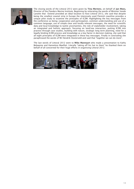

The closing words of the Littoral 2012 were given by Tina Mertens, on behalf of Jan Mees. Director of the Flanders Marine Institute. Beginning by reiterating the words of Minister Vande Lanotte that Ostend provided an ideal location to host Littoral 2012, she said that despite being the smallest coastal strip in Europe the intensively used Flemish coastline provides a unique pilot study to examine the principles of ICZM. Highlighting the key messages from the conference as being; cooperation and participation, common understanding and use of a common language, use of simple clear and locally relevant messages, the need for scientific data and local knowledge to tackle uncertainties, the role of stakeholder involvement, taking an integrated and holistic approach, focusing on land/sea interaction, putting ICZM into practice through case studies, building with nature, strategic long term planning, need for a legally binding ICZM process and knowledge as a key factor in decision making, she said that all eight principles of ICZM were integrated in these key messages. Finally in concluding she paraphrased the words of Mr Hendrik Oosterveld and said that "together we can do more".

The last words of Littoral 2012 went to Mike Mannaart who made a presentation to Kathy Belpaeme and Hannelore Maelfait. Literally "taking off his hat to them" he thanked them on behalf of all concerned for their huge efforts in organising Littoral 2012.

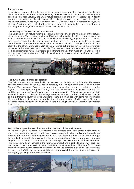# Excursions

A consistent feature of the Littoral series of conferences are the excursions and Littoral 2012 maintained this tradition by organizing three excursions to unique areas on Belgium's coastline; the Yser Estuary, the Zwin nature reserve and the port of Zeebrugge. A fourth proposed excursions to the windfarms off the Belgian coast had to be cancelled due to inclement weather. In her keynote address Minister Crevits wished all a "fascinating voyage of discovery" to these areas each of which, she said, showed the results that could be achieved by the integrated management between relevant departments and sectors.

#### The estuary of the Yser: a site in transition

This unique piece of nature reserve is located at Nieuwpoort, on the right bank of the estuary of the river Yser. The ecosystem with mudflats and salt marshes has been restored to a more natural reserve over the last few years. In 1996 Ghent University, together with INBO worked out a nature restoration plan, and all Navy buildings and road that were located in this reserve were removed in the period between 1999 and 2003. Over the last few years it has become clear that the efforts were not in vain as the measures put in place have seen the restoration of nature in this area over the last decade. The reserve is now internationally reknowned for its high recreational value. The visions and different projects that made this change possible were explained by experts in the field of spatial planning, coastal defense and tourism during this excursion.



#### The Zwin: a Cross-border cooperation

The Zwin is a nature reserve on the North Sea coast, on the Belgian-Dutch border. The reserve consists of mudflats and salt marshes embraced by dunes and polders which are all part of the Natura 2000 – network. Over the course of time, humans had clearly left their traces in this region. With the help of European funding effects of the historical damage have been repaired and the area restored. Today's nature reserve was founded in 1952 and covers an area of 1.58 square kilometers. It is famous for its large variety of salt-resistant flora, such as Sea lavender and is extremely popular with bird watchers. There is a small zoo with some major domestic birds and it is one of the few places in Belgium with a population of white storks. The crossborder cooperation between Belgium and Holland aims to give this nature reserve the attention it deserves.



#### Port of Zeebrugge: impact of an evolution, reaction of the environment

In the last 20 years Zeebrugge has become a multifaceted port that handles a wide range of trades: unit loads (trailers and containers), new cars, conventional general cargo, 'high & heavy' cargoes, dry and liquid bulk cargoes and natural gas. From a purely transit port Zeebrugge has gradually evolved into a centre for European distribution. This evolution has had a very large impact on the local community, on the landscape, the coastal zone and the environment. This influence will only increase in the future and precautions must be taken now. In particular with regard to harbor accessibility new possibilities must be explored. Where the focus is now mainly on expanding the accessibility by land, we have to consider expanding the accessibility by sea as well. Within this excursion all the different possibilities for creating better access to this rapidly growing harbor were examined.

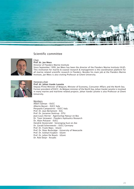

## Scientific committee



## Chair Prof. dr. Jan Mees

Director of Flanders Marine Institute

Since September 1999, Jan Mees has been the director of the Flanders Marine Institute (VLIZ). This institution for marine & coastal research & management is the coordination platform for all marine related scientific research in Flanders. Besides his main job at the Flanders Marine Institute, Jan Mees is also visiting Professor at Ghent University.



#### Honorary chair Prof. dr. Johan Vande Lanotte

Deputy Prime Minister of Belgium, Minister of Economy, Consumer Affairs and the North Sea. Former president of EUCC. As Belgian minister of the North Sea, Johan Vande Lanotte is involved in many marine and maritime related projects. Johan Vande Lanotte is also Professor at Ghent University.

#### Members

Albert Salman – EUCC Alberto Basset – EUCC Italy Pierpaolo Campostrini – EUCC Italy Prof. Dr. Jean Berlamont - KUL Prof. Dr. Josianne Stottrup - DTU Jean-Louis Herrier - Agentschap Natuur en Bos Dr. Toon Verwaest - Flanders Hydraulics Research Dr. Alain Pickaver - EUCC Hendrik Oosterveld - Vereniging Kust en Zee Dr. Gerald Schernewski – EUCC Germany Prof. Dr. Frank Maes - UGent Prof. Dr. Peter Burbridge - University of Newcastle Prof. Dr. Eckhart Kuijken - UGent Prof. Dr. Julien De Rouck - UGent Dr. Rob Steijn - Arcadis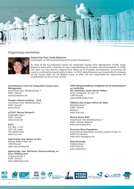

## Organising committee



## Organising Chair: Kathy Belpaeme

Coordinator at CDK (Coördinatiepunt Duurzaam Kustbeheer)

As head of the Co-ordination Centre for Integrated Coastal Zone Management (ICZM), Kathy Belpaeme deals with a diversity of tasks implementing the European Recommendation on ICZM. The tasks are very diverse, ranging from follow-up of European developments concerning the coast to coordinating coastal policy actions. In 2004, Kathy Belpaeme was responsible for drawing up the Coastal Atlas for the Belgian Coast. In 2005 she was responsible for supervising the establishment of the on-line version.

Coordination Centre for Integrated Coastal Zone Management InnovOcean Site, Wandelaarkaai 7 8400 Ostend www.kustbeheer.be

Flanders Marine Institute – VLIZ InnovOcean Site, Wanderlaarkaai 7 8400 Ostend www.vliz.be

#### eCOAST Marine Research

Esplanadestraat 1 8400 Ostend www.ecoast.be

**EUCC** P.O. Box 11232 2301 EE Leiden The Netherlands www.eucc.net

Agentschap voor Natuur en Bos Koning Albert II-laan 20 1000 Brussel www.natuurenbos.be

#### Agentschap voor Maritieme Dienstverlening en Kust, Afdeling kust Vrijhavenstraat 3 8400 Ostend www.afdelingkust.be

#### FOD Volksgezondheid, Veiligheid van de Voedselketen en Leefmilieu DG Leefmilieu, Sectie Marien Milieu, Victor Hortaplein 40, bus 10 1060 Brussel www.health.belgium.be

UNESCO/IOC Project Office for IODE Wandelaarkaai 7 8400 Ostend

Belgium www.iode.org

#### Marine Board (ESF)

InnovOcean Site, Wandelaarkaai 7 8400 Ostend, Belgium www.marineboard.eu

#### Provincie West-Vlaanderen

Provinciehuis Boeverbos, Koning Leopold III-laan 41, 8200 Sint-Andries www.west-vlaanderen.be

## Stad Oostende

Vindictivelaan 1 8400 Ostend www.Ostend.be